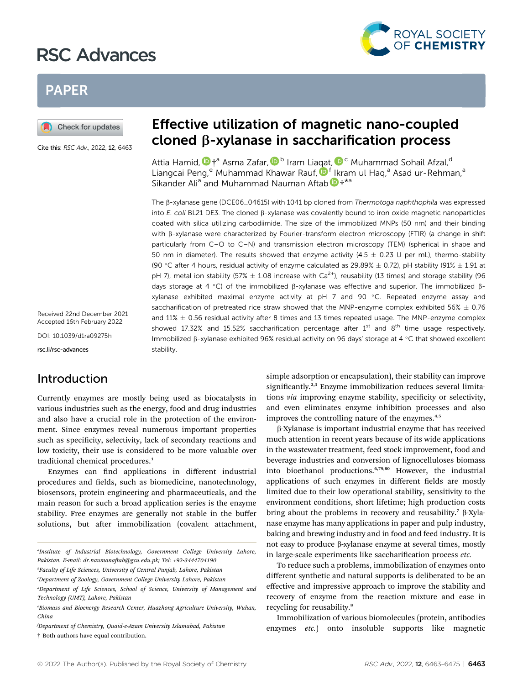# RSC Advances



# PAPER

Check for updates

Cite this: RSC Adv., 2022, 12, 6463

Received 22nd December 2021 Accepted 16th February 2022

DOI: 10.1039/d1ra09275h

rsc.li/rsc-advances

### Introduction

Currently enzymes are mostly being used as biocatalysts in various industries such as the energy, food and drug industries and also have a crucial role in the protection of the environment. Since enzymes reveal numerous important properties such as specificity, selectivity, lack of secondary reactions and low toxicity, their use is considered to be more valuable over traditional chemical procedures.<sup>1</sup>

Enzymes can find applications in different industrial procedures and fields, such as biomedicine, nanotechnology, biosensors, protein engineering and pharmaceuticals, and the main reason for such a broad application series is the enzyme stability. Free enzymes are generally not stable in the buffer solutions, but after immobilization (covalent attachment,

# Effective utilization of magnetic nano-coupled cloned b-xylanase in saccharification process

Attia Hamid[,](http://orcid.org/0000-0002-4638-8253)  $\mathbf{D}$  +<sup>a</sup> Asma Zafar,  $\mathbf{D}^{\text{b}}$  Iram Li[aqa](http://orcid.org/0000-0001-9994-4033)t,  $\mathbf{D}^{\text{c}}$  Muhammad Sohail Afzal, d Liangcai Peng, Muhammad Khawar Rauf, D<sup>f</sup> Ikram ul Hag,<sup>a</sup> Asad ur-Rehman,<sup>a</sup> Sikander Ali<sup>a</sup> and Muhammad Nauman Afta[b](http://orcid.org/0000-0002-6224-8496)  $\mathbf{D}$   $\dagger$ <sup>\*a</sup>

The B-xylanase gene (DCE06\_04615) with 1041 bp cloned from Thermotoga naphthophila was expressed into E. coli BL21 DE3. The cloned  $\beta$ -xylanase was covalently bound to iron oxide magnetic nanoparticles coated with silica utilizing carbodiimide. The size of the immobilized MNPs (50 nm) and their binding with β-xylanase were characterized by Fourier-transform electron microscopy (FTIR) (a change in shift particularly from C–O to C–N) and transmission electron microscopy (TEM) (spherical in shape and 50 nm in diameter). The results showed that enzyme activity (4.5  $\pm$  0.23 U per mL), thermo-stability (90 °C after 4 hours, residual activity of enzyme calculated as 29.89%  $\pm$  0.72), pH stability (91%  $\pm$  1.91 at pH 7), metal ion stability (57%  $\pm$  1.08 increase with Ca<sup>2+</sup>), reusability (13 times) and storage stability (96 days storage at 4 °C) of the immobilized  $\beta$ -xylanase was effective and superior. The immobilized  $\beta$ xylanase exhibited maximal enzyme activity at pH  $7$  and  $90$  °C. Repeated enzyme assay and saccharification of pretreated rice straw showed that the MNP-enzyme complex exhibited 56%  $\pm$  0.76 and  $11\% \pm 0.56$  residual activity after 8 times and 13 times repeated usage. The MNP-enzyme complex showed 17.32% and 15.52% saccharification percentage after  $1<sup>st</sup>$  and  $8<sup>th</sup>$  time usage respectively. Immobilized  $\beta$ -xylanase exhibited 96% residual activity on 96 days' storage at 4 °C that showed excellent stability.

> simple adsorption or encapsulation), their stability can improve significantly.<sup>2,3</sup> Enzyme immobilization reduces several limitations via improving enzyme stability, specificity or selectivity, and even eliminates enzyme inhibition processes and also improves the controlling nature of the enzymes.<sup>4,5</sup>

> b-Xylanase is important industrial enzyme that has received much attention in recent years because of its wide applications in the wastewater treatment, feed stock improvement, food and beverage industries and conversion of lignocelluloses biomass into bioethanol productions.6,79,80 However, the industrial applications of such enzymes in different fields are mostly limited due to their low operational stability, sensitivity to the environment conditions, short lifetime; high production costs bring about the problems in recovery and reusability.<sup>7</sup>  $\beta$ -Xylanase enzyme has many applications in paper and pulp industry, baking and brewing industry and in food and feed industry. It is not easy to produce β-xylanase enzyme at several times, mostly in large-scale experiments like saccharification process etc.

> To reduce such a problems, immobilization of enzymes onto different synthetic and natural supports is deliberated to be an effective and impressive approach to improve the stability and recovery of enzyme from the reaction mixture and ease in recycling for reusability.<sup>8</sup>

> Immobilization of various biomolecules (protein, antibodies enzymes etc.) onto insoluble supports like magnetic

a Institute of Industrial Biotechnology, Government College University Lahore, Pakistan. E-mail: dr.naumanaftab@gcu.edu.pk; Tel: +92-3444704190

b Faculty of Life Sciences, University of Central Punjab, Lahore, Pakistan

c Department of Zoology, Government College University Lahore, Pakistan

d Department of Life Sciences, School of Science, University of Management and Technology (UMT), Lahore, Pakistan

e Biomass and Bioenergy Research Center, Huazhong Agriculture University, Wuhan, China

f Department of Chemistry, Quaid-e-Azam University Islamabad, Pakistan † Both authors have equal contribution.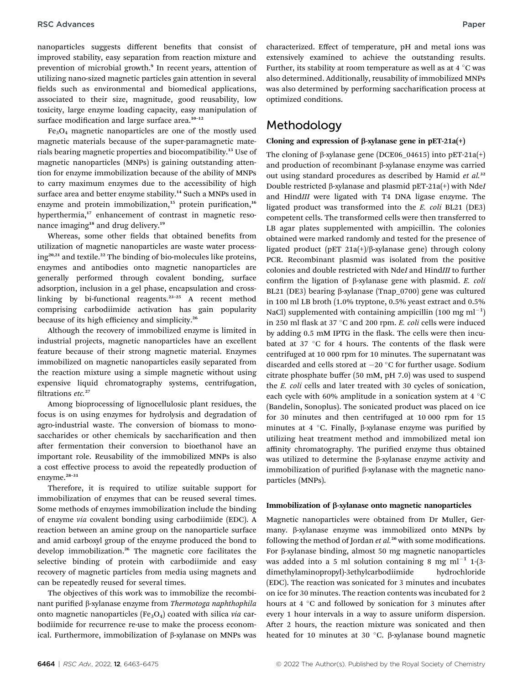nanoparticles suggests different benefits that consist of improved stability, easy separation from reaction mixture and prevention of microbial growth.<sup>9</sup> In recent years, attention of utilizing nano-sized magnetic particles gain attention in several fields such as environmental and biomedical applications, associated to their size, magnitude, good reusability, low toxicity, large enzyme loading capacity, easy manipulation of surface modification and large surface area.<sup>10-12</sup>

Fe3O4 magnetic nanoparticles are one of the mostly used magnetic materials because of the super-paramagnetic materials bearing magnetic properties and biocompatibility.<sup>13</sup> Use of magnetic nanoparticles (MNPs) is gaining outstanding attention for enzyme immobilization because of the ability of MNPs to carry maximum enzymes due to the accessibility of high surface area and better enzyme stability.<sup>14</sup> Such a MNPs used in enzyme and protein immobilization,<sup>15</sup> protein purification,<sup>16</sup> hyperthermia,<sup>17</sup> enhancement of contrast in magnetic resonance imaging<sup>18</sup> and drug delivery.<sup>19</sup>

Whereas, some other fields that obtained benefits from utilization of magnetic nanoparticles are waste water processing20,21 and textile.<sup>22</sup> The binding of bio-molecules like proteins, enzymes and antibodies onto magnetic nanoparticles are generally performed through covalent bonding, surface adsorption, inclusion in a gel phase, encapsulation and crosslinking by bi-functional reagents.<sup>23</sup>–<sup>25</sup> A recent method comprising carbodiimide activation has gain popularity because of its high efficiency and simplicity.<sup>26</sup>

Although the recovery of immobilized enzyme is limited in industrial projects, magnetic nanoparticles have an excellent feature because of their strong magnetic material. Enzymes immobilized on magnetic nanoparticles easily separated from the reaction mixture using a simple magnetic without using expensive liquid chromatography systems, centrifugation, filtrations etc.<sup>27</sup>

Among bioprocessing of lignocellulosic plant residues, the focus is on using enzymes for hydrolysis and degradation of agro-industrial waste. The conversion of biomass to monosaccharides or other chemicals by saccharification and then after fermentation their conversion to bioethanol have an important role. Reusability of the immobilized MNPs is also a cost effective process to avoid the repeatedly production of enzyme.<sup>28-31</sup>

Therefore, it is required to utilize suitable support for immobilization of enzymes that can be reused several times. Some methods of enzymes immobilization include the binding of enzyme via covalent bonding using carbodiimide (EDC). A reaction between an amine group on the nanoparticle surface and amid carboxyl group of the enzyme produced the bond to develop immobilization.<sup>26</sup> The magnetic core facilitates the selective binding of protein with carbodiimide and easy recovery of magnetic particles from media using magnets and can be repeatedly reused for several times.

The objectives of this work was to immobilize the recombinant purified β-xylanase enzyme from Thermotoga naphthophila onto magnetic nanoparticles ( $Fe<sub>3</sub>O<sub>4</sub>$ ) coated with silica via carbodiimide for recurrence re-use to make the process economical. Furthermore, immobilization of  $\beta$ -xylanase on MNPs was

characterized. Effect of temperature, pH and metal ions was extensively examined to achieve the outstanding results. Further, its stability at room temperature as well as at  $4^{\circ}$ C was also determined. Additionally, reusability of immobilized MNPs was also determined by performing saccharification process at optimized conditions.

### Methodology

#### Cloning and expression of  $\beta$ -xylanase gene in pET-21a(+)

The cloning of  $\beta$ -xylanase gene (DCE06 04615) into pET-21a(+) and production of recombinant  $\beta$ -xylanase enzyme was carried out using standard procedures as described by Hamid et  $al$ .<sup>32</sup> Double restricted  $\beta$ -xylanase and plasmid pET-21a(+) with NdeI and HindIII were ligated with T4 DNA ligase enzyme. The ligated product was transformed into the E. coli BL21 (DE3) competent cells. The transformed cells were then transferred to LB agar plates supplemented with ampicillin. The colonies obtained were marked randomly and tested for the presence of ligated product (pET 21a(+)/ $\beta$ -xylanase gene) through colony PCR. Recombinant plasmid was isolated from the positive colonies and double restricted with NdeI and HindIII to further confirm the ligation of  $\beta$ -xylanase gene with plasmid. E. coli BL21 (DE3) bearing  $\beta$ -xylanase (Tnap\_0700) gene was cultured in 100 ml LB broth (1.0% tryptone, 0.5% yeast extract and 0.5% NaCl) supplemented with containing ampicillin (100 mg ml<sup>-1</sup>) in 250 ml flask at 37  $^{\circ}$ C and 200 rpm. *E. coli* cells were induced by adding 0.5 mM IPTG in the flask. The cells were then incubated at 37  $\degree$ C for 4 hours. The contents of the flask were centrifuged at 10 000 rpm for 10 minutes. The supernatant was discarded and cells stored at  $-20$  °C for further usage. Sodium citrate phosphate buffer (50 mM, pH 7.0) was used to suspend the E. coli cells and later treated with 30 cycles of sonication, each cycle with 60% amplitude in a sonication system at 4  $\degree$ C (Bandelin, Sonoplus). The sonicated product was placed on ice for 30 minutes and then centrifuged at 10 000 rpm for 15 minutes at 4  $\degree$ C. Finally,  $\beta$ -xylanase enzyme was purified by utilizing heat treatment method and immobilized metal ion affinity chromatography. The purified enzyme thus obtained was utilized to determine the  $\beta$ -xylanase enzyme activity and immobilization of purified  $\beta$ -xylanase with the magnetic nanoparticles (MNPs).

#### Immobilization of β-xylanase onto magnetic nanoparticles

Magnetic nanoparticles were obtained from Dr Muller, Germany.  $\beta$ -xylanase enzyme was immobilized onto MNPs by following the method of Jordan et al.<sup>26</sup> with some modifications. For b-xylanase binding, almost 50 mg magnetic nanoparticles was added into a 5 ml solution containing 8 mg ml<sup>-1</sup> 1-(3dimethylaminopropyl)-3ethylcarbodiimide hydrochloride (EDC). The reaction was sonicated for 3 minutes and incubates on ice for 30 minutes. The reaction contents was incubated for 2 hours at 4  $\degree$ C and followed by sonication for 3 minutes after every 1 hour intervals in a way to assure uniform dispersion. After 2 hours, the reaction mixture was sonicated and then heated for 10 minutes at 30  $^{\circ}$ C.  $\beta$ -xylanase bound magnetic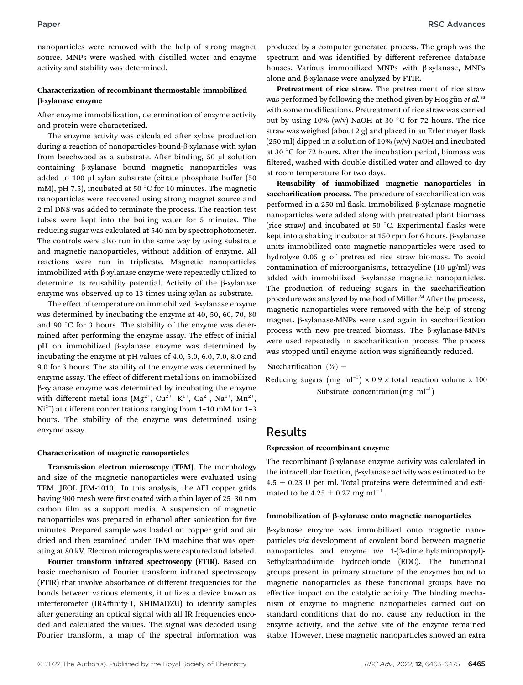nanoparticles were removed with the help of strong magnet source. MNPs were washed with distilled water and enzyme activity and stability was determined.

#### Characterization of recombinant thermostable immobilized b-xylanase enzyme

After enzyme immobilization, determination of enzyme activity and protein were characterized.

The enzyme activity was calculated after xylose production during a reaction of nanoparticles-bound-b-xylanase with xylan from beechwood as a substrate. After binding,  $50 \mu l$  solution containing b-xylanase bound magnetic nanoparticles was added to 100 µl xylan substrate (citrate phosphate buffer (50 mM), pH 7.5), incubated at 50  $^{\circ}$ C for 10 minutes. The magnetic nanoparticles were recovered using strong magnet source and 2 ml DNS was added to terminate the process. The reaction test tubes were kept into the boiling water for 5 minutes. The reducing sugar was calculated at 540 nm by spectrophotometer. The controls were also run in the same way by using substrate and magnetic nanoparticles, without addition of enzyme. All reactions were run in triplicate. Magnetic nanoparticles immobilized with  $\beta$ -xylanase enzyme were repeatedly utilized to determine its reusability potential. Activity of the b-xylanase enzyme was observed up to 13 times using xylan as substrate.

The effect of temperature on immobilized  $\beta$ -xylanase enzyme was determined by incubating the enzyme at 40, 50, 60, 70, 80 and 90  $\degree$ C for 3 hours. The stability of the enzyme was determined after performing the enzyme assay. The effect of initial pH on immobilized β-xylanase enzyme was determined by incubating the enzyme at pH values of 4.0, 5.0, 6.0, 7.0, 8.0 and 9.0 for 3 hours. The stability of the enzyme was determined by enzyme assay. The effect of different metal ions on immobilized b-xylanase enzyme was determined by incubating the enzyme with different metal ions  $(Mg^{2+}, Cu^{2+}, K^{1+}, Ca^{2+}, Na^{1+}, Mn^{2+},$  $Ni<sup>2+</sup>$ ) at different concentrations ranging from 1–10 mM for 1–3 hours. The stability of the enzyme was determined using enzyme assay.

#### Characterization of magnetic nanoparticles

Transmission electron microscopy (TEM). The morphology and size of the magnetic nanoparticles were evaluated using TEM (JEOL JEM-1010). In this analysis, the AEI copper grids having 900 mesh were first coated with a thin layer of 25-30 nm carbon film as a support media. A suspension of magnetic nanoparticles was prepared in ethanol after sonication for five minutes. Prepared sample was loaded on copper grid and air dried and then examined under TEM machine that was operating at 80 kV. Electron micrographs were captured and labeled.

Fourier transform infrared spectroscopy (FTIR). Based on basic mechanism of Fourier transform infrared spectroscopy (FTIR) that involve absorbance of different frequencies for the bonds between various elements, it utilizes a device known as interferometer (IRAffinity-1, SHIMADZU) to identify samples after generating an optical signal with all IR frequencies encoded and calculated the values. The signal was decoded using Fourier transform, a map of the spectral information was

produced by a computer-generated process. The graph was the spectrum and was identified by different reference database houses. Various immobilized MNPs with  $\beta$ -xylanase, MNPs alone and  $\beta$ -xylanase were analyzed by FTIR.

Pretreatment of rice straw. The pretreatment of rice straw was performed by following the method given by Hosgün et al. $33$ with some modifications. Pretreatment of rice straw was carried out by using 10% (w/v) NaOH at 30  $\degree$ C for 72 hours. The rice straw was weighed (about  $2$  g) and placed in an Erlenmeyer flask  $(250 \text{ ml})$  dipped in a solution of  $10\%$  (w/v) NaOH and incubated at 30  $\degree$ C for 72 hours. After the incubation period, biomass was filtered, washed with double distilled water and allowed to dry at room temperature for two days.

Reusability of immobilized magnetic nanoparticles in saccharification process. The procedure of saccharification was performed in a 250 ml flask. Immobilized  $\beta$ -xylanase magnetic nanoparticles were added along with pretreated plant biomass (rice straw) and incubated at 50  $^{\circ}$ C. Experimental flasks were kept into a shaking incubator at 150 rpm for 6 hours.  $\beta$ -xylanase units immobilized onto magnetic nanoparticles were used to hydrolyze 0.05 g of pretreated rice straw biomass. To avoid contamination of microorganisms, tetracycline  $(10 \text{ µg/ml})$  was added with immobilized  $\beta$ -xylanase magnetic nanoparticles. The production of reducing sugars in the saccharification procedure was analyzed by method of Miller.<sup>34</sup> After the process, magnetic nanoparticles were removed with the help of strong magnet.  $\beta$ -xylanase-MNPs were used again in saccharification process with new pre-treated biomass. The b-xylanase-MNPs were used repeatedly in saccharification process. The process was stopped until enzyme action was significantly reduced.

Saccharification  $(\%) =$ Reducing sugars  $(mg \text{ ml}^{-1}) \times 0.9 \times \text{total reaction volume} \times 100$ 

Substrate concentration (mg ml<sup>-1</sup>)

### Results

#### Expression of recombinant enzyme

The recombinant  $\beta$ -xylanase enzyme activity was calculated in the intracellular fraction,  $\beta$ -xylanase activity was estimated to be  $4.5 \pm 0.23$  U per ml. Total proteins were determined and estimated to be  $4.25 \pm 0.27$  mg ml<sup>-1</sup>.

#### Immobilization of β-xylanase onto magnetic nanoparticles

b-xylanase enzyme was immobilized onto magnetic nanoparticles via development of covalent bond between magnetic nanoparticles and enzyme via 1-(3-dimethylaminopropyl)- 3ethylcarbodiimide hydrochloride (EDC). The functional groups present in primary structure of the enzymes bound to magnetic nanoparticles as these functional groups have no effective impact on the catalytic activity. The binding mechanism of enzyme to magnetic nanoparticles carried out on standard conditions that do not cause any reduction in the enzyme activity, and the active site of the enzyme remained stable. However, these magnetic nanoparticles showed an extra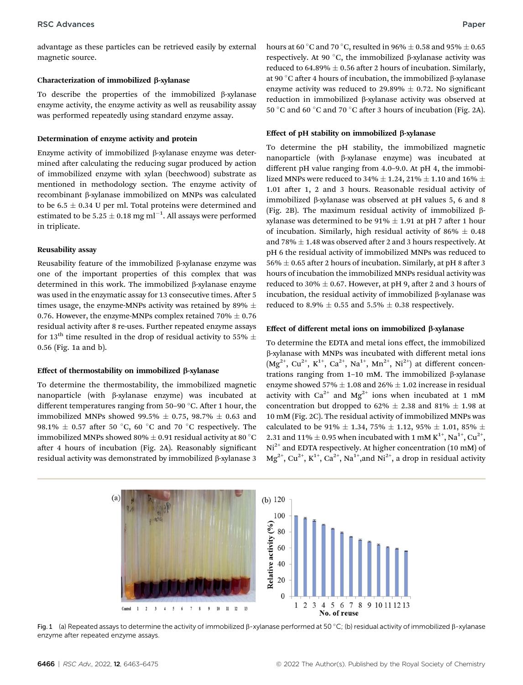advantage as these particles can be retrieved easily by external magnetic source.

#### Characterization of immobilized  $\beta$ -xylanase

To describe the properties of the immobilized  $\beta$ -xylanase enzyme activity, the enzyme activity as well as reusability assay was performed repeatedly using standard enzyme assay.

#### Determination of enzyme activity and protein

Enzyme activity of immobilized  $\beta$ -xylanase enzyme was determined after calculating the reducing sugar produced by action of immobilized enzyme with xylan (beechwood) substrate as mentioned in methodology section. The enzyme activity of recombinant β-xylanase immobilized on MNPs was calculated to be 6.5  $\pm$  0.34 U per ml. Total proteins were determined and estimated to be 5.25  $\pm$  0.18 mg ml<sup>-1</sup>. All assays were performed in triplicate.

#### Reusability assay

Reusability feature of the immobilized  $\beta$ -xylanase enzyme was one of the important properties of this complex that was determined in this work. The immobilized  $\beta$ -xylanase enzyme was used in the enzymatic assay for 13 consecutive times. After 5 times usage, the enzyme-MNPs activity was retained by 89%  $\pm$ 0.76. However, the enzyme-MNPs complex retained 70%  $\pm$  0.76 residual activity after 8 re-uses. Further repeated enzyme assays for 13<sup>th</sup> time resulted in the drop of residual activity to 55%  $\pm$ 0.56 (Fig. 1a and b).

#### Effect of thermostability on immobilized  $\beta$ -xylanase

To determine the thermostability, the immobilized magnetic nanoparticle (with b-xylanase enzyme) was incubated at different temperatures ranging from 50-90  $\degree$ C. After 1 hour, the immobilized MNPs showed 99.5%  $\pm$  0.75, 98.7%  $\pm$  0.63 and 98.1%  $\pm$  0.57 after 50 °C, 60 °C and 70 °C respectively. The immobilized MNPs showed 80%  $\pm$  0.91 residual activity at 80 °C after 4 hours of incubation (Fig. 2A). Reasonably significant residual activity was demonstrated by immobilized  $\beta$ -xylanase 3

hours at 60 °C and 70 °C, resulted in 96%  $\pm$  0.58 and 95%  $\pm$  0.65 respectively. At 90 $\degree$ C, the immobilized  $\beta$ -xylanase activity was reduced to 64.89%  $\pm$  0.56 after 2 hours of incubation. Similarly, at 90 °C after 4 hours of incubation, the immobilized  $\beta$ -xylanase enzyme activity was reduced to 29.89%  $\pm$  0.72. No significant reduction in immobilized b-xylanase activity was observed at 50 °C and 60 °C and 70 °C after 3 hours of incubation (Fig. 2A).

#### Effect of pH stability on immobilized  $\beta$ -xylanase

To determine the pH stability, the immobilized magnetic nanoparticle (with b-xylanase enzyme) was incubated at different pH value ranging from 4.0–9.0. At pH 4, the immobilized MNPs were reduced to 34%  $\pm$  1.24, 21%  $\pm$  1.10 and 16%  $\pm$ 1.01 after 1, 2 and 3 hours. Reasonable residual activity of immobilized  $\beta$ -xylanase was observed at pH values 5, 6 and 8 (Fig. 2B). The maximum residual activity of immobilized  $\beta$ xylanase was determined to be  $91\% \pm 1.91$  at pH 7 after 1 hour of incubation. Similarly, high residual activity of 86%  $\pm$  0.48 and 78%  $\pm$  1.48 was observed after 2 and 3 hours respectively. At pH 6 the residual activity of immobilized MNPs was reduced to  $56\% \pm 0.65$  after 2 hours of incubation. Similarly, at pH 8 after 3 hours of incubation the immobilized MNPs residual activity was reduced to 30%  $\pm$  0.67. However, at pH 9, after 2 and 3 hours of incubation, the residual activity of immobilized  $\beta$ -xylanase was reduced to 8.9%  $\pm$  0.55 and 5.5%  $\pm$  0.38 respectively.

#### Effect of different metal ions on immobilized β-xylanase

To determine the EDTA and metal ions effect, the immobilized b-xylanase with MNPs was incubated with different metal ions  $(Mg^{2+}, Cu^{2+}, K^{1+}, Ca^{2+}, Na^{1+}, Mn^{2+}, Ni^{2+})$  at different concentrations ranging from  $1-10$  mM. The immobilized  $\beta$ -xylanase enzyme showed 57%  $\pm$  1.08 and 26%  $\pm$  1.02 increase in residual activity with  $Ca^{2+}$  and  $Mg^{2+}$  ions when incubated at 1 mM concentration but dropped to 62%  $\pm$  2.38 and 81%  $\pm$  1.98 at 10 mM (Fig. 2C). The residual activity of immobilized MNPs was calculated to be 91%  $\pm$  1.34, 75%  $\pm$  1.12, 95%  $\pm$  1.01, 85%  $\pm$ 2.31 and 11%  $\pm$  0.95 when incubated with 1 mM K<sup>1+</sup>, Na<sup>1+</sup>, Cu<sup>2+</sup>,  $Ni<sup>2+</sup>$  and EDTA respectively. At higher concentration (10 mM) of  $Mg^{2+}$ , Cu<sup>2+</sup>, K<sup>1+</sup>, Ca<sup>2+</sup>, Na<sup>1+</sup>, and Ni<sup>2+</sup>, a drop in residual activity



Fig. 1 (a) Repeated assays to determine the activity of immobilized  $\beta$ -xylanase performed at 50 °C; (b) residual activity of immobilized  $\beta$ -xylanase enzyme after repeated enzyme assays.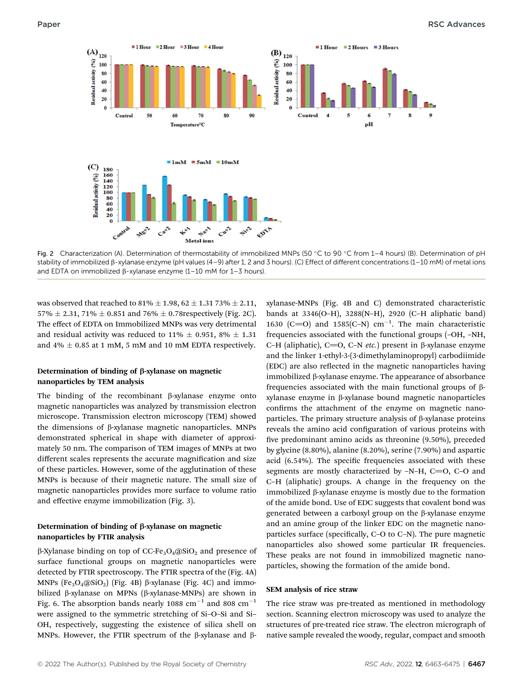

Fig. 2 Characterization (A). Determination of thermostability of immobilized MNPs (50 °C to 90 °C from 1–4 hours) (B). Determination of pH stability of immobilized  $\beta$ -xylanase enzyme (pH values (4–9) after 1, 2 and 3 hours). (C) Effect of different concentrations (1–10 mM) of metal ions and EDTA on immobilized  $\beta$ -xylanase enzyme (1–10 mM for 1–3 hours).

was observed that reached to  $81\% \pm 1.98$ ,  $62 \pm 1.31$  73%  $\pm 2.11$ , 57%  $\pm$  2.31, 71%  $\pm$  0.851 and 76%  $\pm$  0.78 respectively (Fig. 2C). The effect of EDTA on Immobilized MNPs was very detrimental and residual activity was reduced to 11%  $\pm$  0.951, 8%  $\pm$  1.31 and  $4\% \pm 0.85$  at 1 mM, 5 mM and 10 mM EDTA respectively.

### Determination of binding of  $\beta$ -xylanase on magnetic nanoparticles by TEM analysis

The binding of the recombinant  $\beta$ -xylanase enzyme onto magnetic nanoparticles was analyzed by transmission electron microscope. Transmission electron microscopy (TEM) showed the dimensions of b-xylanase magnetic nanoparticles. MNPs demonstrated spherical in shape with diameter of approximately 50 nm. The comparison of TEM images of MNPs at two different scales represents the accurate magnification and size of these particles. However, some of the agglutination of these MNPs is because of their magnetic nature. The small size of magnetic nanoparticles provides more surface to volume ratio and effective enzyme immobilization (Fig. 3).

### Determination of binding of  $\beta$ -xylanase on magnetic nanoparticles by FTIR analysis

 $\beta$ -Xylanase binding on top of CC-Fe<sub>3</sub>O<sub>4</sub>@SiO<sub>2</sub> and presence of surface functional groups on magnetic nanoparticles were detected by FTIR spectroscopy. The FTIR spectra of the (Fig. 4A) MNPs  $(Fe<sub>3</sub>O<sub>4</sub>(@SiO<sub>2</sub>)$  (Fig. 4B)  $\beta$ -xylanase (Fig. 4C) and immobilized  $\beta$ -xylanase on MPNs ( $\beta$ -xylanase-MNPs) are shown in Fig. 6. The absorption bands nearly 1088  $\text{cm}^{-1}$  and 808  $\text{cm}^{-1}$ were assigned to the symmetric stretching of Si–O–Si and Si– OH, respectively, suggesting the existence of silica shell on MNPs. However, the FTIR spectrum of the  $\beta$ -xylanase and  $\beta$ -

xylanase-MNPs (Fig. 4B and C) demonstrated characteristic bands at 3346(O–H), 3288(N–H), 2920 (C–H aliphatic band) 1630 (C=O) and 1585(C-N)  $cm^{-1}$ . The main characteristic frequencies associated with the functional groups (–OH, –NH, C-H (aliphatic), C=O, C-N etc.) present in  $\beta$ -xylanase enzyme and the linker 1-ethyl-3-(3-dimethylaminopropyl) carbodiimide (EDC) are also reflected in the magnetic nanoparticles having immobilized  $\beta$ -xylanase enzyme. The appearance of absorbance frequencies associated with the main functional groups of  $\beta$ xylanase enzyme in b-xylanase bound magnetic nanoparticles confirms the attachment of the enzyme on magnetic nanoparticles. The primary structure analysis of  $\beta$ -xylanase proteins reveals the amino acid configuration of various proteins with five predominant amino acids as threonine (9.50%), preceded by glycine (8.80%), alanine (8.20%), serine (7.90%) and aspartic acid  $(6.54\%)$ . The specific frequencies associated with these segments are mostly characterized by  $-N-H$ ,  $C=O$ ,  $C-O$  and C–H (aliphatic) groups. A change in the frequency on the immobilized  $\beta$ -xylanase enzyme is mostly due to the formation of the amide bond. Use of EDC suggests that covalent bond was generated between a carboxyl group on the  $\beta$ -xylanase enzyme and an amine group of the linker EDC on the magnetic nanoparticles surface (specifically,  $C$ –O to  $C$ –N). The pure magnetic nanoparticles also showed some particular IR frequencies. These peaks are not found in immobilized magnetic nanoparticles, showing the formation of the amide bond.

#### SEM analysis of rice straw

The rice straw was pre-treated as mentioned in methodology section. Scanning electron microscopy was used to analyze the structures of pre-treated rice straw. The electron micrograph of native sample revealed the woody, regular, compact and smooth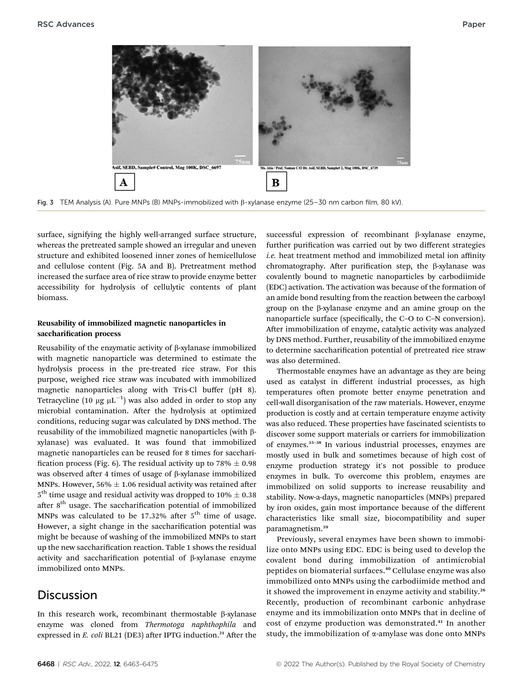

Fig. 3 TEM Analysis (A). Pure MNPs (B) MNPs-immobilized with  $\beta$ -xylanase enzyme (25–30 nm carbon film, 80 kV).

surface, signifying the highly well-arranged surface structure, whereas the pretreated sample showed an irregular and uneven structure and exhibited loosened inner zones of hemicellulose and cellulose content (Fig. 5A and B). Pretreatment method increased the surface area of rice straw to provide enzyme better accessibility for hydrolysis of cellulytic contents of plant biomass.

#### Reusability of immobilized magnetic nanoparticles in saccharification process

Reusability of the enzymatic activity of  $\beta$ -xylanase immobilized with magnetic nanoparticle was determined to estimate the hydrolysis process in the pre-treated rice straw. For this purpose, weighed rice straw was incubated with immobilized magnetic nanoparticles along with Tris-Cl buffer (pH 8). Tetracycline  $(10 \ \mu\text{g}\ \mu\text{L}^{-1})$  was also added in order to stop any microbial contamination. After the hydrolysis at optimized conditions, reducing sugar was calculated by DNS method. The reusability of the immobilized magnetic nanoparticles (with bxylanase) was evaluated. It was found that immobilized magnetic nanoparticles can be reused for 8 times for sacchari fication process (Fig. 6). The residual activity up to 78%  $\pm$  0.98 was observed after 4 times of usage of  $\beta$ -xylanase immobilized MNPs. However, 56%  $\pm$  1.06 residual activity was retained after  $5<sup>th</sup>$  time usage and residual activity was dropped to 10%  $\pm$  0.38 after 8<sup>th</sup> usage. The saccharification potential of immobilized MNPs was calculated to be  $17.32\%$  after  $5<sup>th</sup>$  time of usage. However, a sight change in the saccharification potential was might be because of washing of the immobilized MNPs to start up the new saccharification reaction. Table 1 shows the residual activity and saccharification potential of  $\beta$ -xylanase enzyme immobilized onto MNPs.

### **Discussion**

In this research work, recombinant thermostable  $\beta$ -xylanase enzyme was cloned from Thermotoga naphthophila and expressed in  $E.$  coli BL21 (DE3) after IPTG induction.<sup>21</sup> After the

successful expression of recombinant  $\beta$ -xylanase enzyme, further purification was carried out by two different strategies i.e. heat treatment method and immobilized metal ion affinity chromatography. After purification step, the  $\beta$ -xylanase was covalently bound to magnetic nanoparticles by carbodiimide (EDC) activation. The activation was because of the formation of an amide bond resulting from the reaction between the carboxyl group on the  $\beta$ -xylanase enzyme and an amine group on the nanoparticle surface (specifically, the C-O to C-N conversion). After immobilization of enzyme, catalytic activity was analyzed by DNS method. Further, reusability of the immobilized enzyme to determine saccharification potential of pretreated rice straw was also determined.

Thermostable enzymes have an advantage as they are being used as catalyst in different industrial processes, as high temperatures often promote better enzyme penetration and cell-wall disorganisation of the raw materials. However, enzyme production is costly and at certain temperature enzyme activity was also reduced. These properties have fascinated scientists to discover some support materials or carriers for immobilization of enzymes.<sup>35</sup>–<sup>38</sup> In various industrial processes, enzymes are mostly used in bulk and sometimes because of high cost of enzyme production strategy it's not possible to produce enzymes in bulk. To overcome this problem, enzymes are immobilized on solid supports to increase reusability and stability. Now-a-days, magnetic nanoparticles (MNPs) prepared by iron oxides, gain most importance because of the different characteristics like small size, biocompatibility and super paramagnetism.<sup>39</sup>

Previously, several enzymes have been shown to immobilize onto MNPs using EDC. EDC is being used to develop the covalent bond during immobilization of antimicrobial peptides on biomaterial surfaces.<sup>40</sup> Cellulase enzyme was also immobilized onto MNPs using the carbodiimide method and it showed the improvement in enzyme activity and stability.<sup>26</sup> Recently, production of recombinant carbonic anhydrase enzyme and its immobilization onto MNPs that in decline of cost of enzyme production was demonstrated.<sup>41</sup> In another study, the immobilization of  $\alpha$ -amylase was done onto MNPs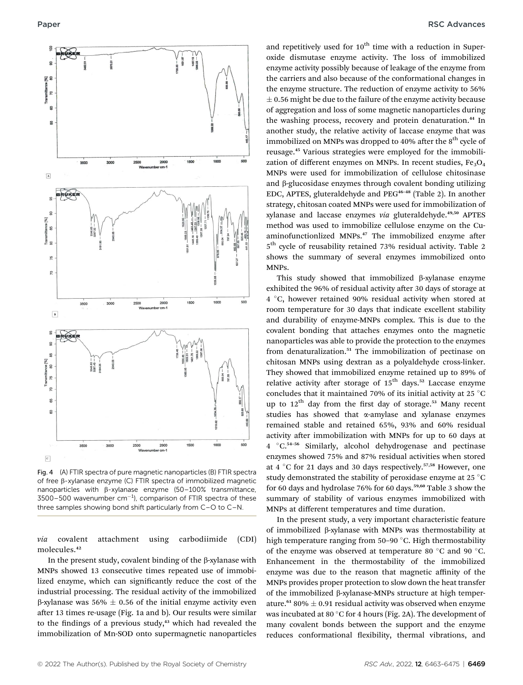

Fig. 4 (A) FTIR spectra of pure magnetic nanoparticles (B) FTIR spectra of free  $\beta$ -xylanase enzyme (C) FTIR spectra of immobilized magnetic nanoparticles with  $\beta$ -xylanase enzyme (50–100% transmittance,  $3500 - 500$  wavenumber cm<sup>-1</sup>), comparison of FTIR spectra of these three samples showing bond shift particularly from C–O to C–N.

via covalent attachment using carbodiimide (CDI) molecules.<sup>42</sup>

In the present study, covalent binding of the  $\beta$ -xylanase with MNPs showed 13 consecutive times repeated use of immobilized enzyme, which can signicantly reduce the cost of the industrial processing. The residual activity of the immobilized  $\beta$ -xylanase was 56%  $\pm$  0.56 of the initial enzyme activity even after 13 times re-usage (Fig. 1a and b). Our results were similar to the findings of a previous study, $43$  which had revealed the immobilization of Mn-SOD onto supermagnetic nanoparticles

and repetitively used for  $10<sup>th</sup>$  time with a reduction in Superoxide dismutase enzyme activity. The loss of immobilized enzyme activity possibly because of leakage of the enzyme from the carriers and also because of the conformational changes in the enzyme structure. The reduction of enzyme activity to 56%  $\pm$  0.56 might be due to the failure of the enzyme activity because of aggregation and loss of some magnetic nanoparticles during the washing process, recovery and protein denaturation.<sup>44</sup> In another study, the relative activity of laccase enzyme that was immobilized on MNPs was dropped to  $40\%$  after the  $8<sup>th</sup>$  cycle of reusage.<sup>45</sup> Various strategies were employed for the immobilization of different enzymes on MNPs. In recent studies,  $Fe<sub>3</sub>O<sub>4</sub>$ MNPs were used for immobilization of cellulose chitosinase and  $\beta$ -glucosidase enzymes through covalent bonding utilizing EDC, APTES, gluteraldehyde and PEG<sup>46-48</sup> (Table 2). In another strategy, chitosan coated MNPs were used for immobilization of xylanase and laccase enzymes via gluteraldehyde.<sup>49,50</sup> APTES method was used to immobilize cellulose enzyme on the Cuaminofunctionlized MNPs.<sup>47</sup> The immobilized enzyme after  $5<sup>th</sup>$  cycle of reusability retained 73% residual activity. Table 2 shows the summary of several enzymes immobilized onto MNPs.

This study showed that immobilized  $\beta$ -xylanase enzyme exhibited the 96% of residual activity after 30 days of storage at 4 °C, however retained 90% residual activity when stored at room temperature for 30 days that indicate excellent stability and durability of enzyme-MNPs complex. This is due to the covalent bonding that attaches enzymes onto the magnetic nanoparticles was able to provide the protection to the enzymes from denaturalization.<sup>51</sup> The immobilization of pectinase on chitosan MNPs using dextran as a polyaldehyde cross-linker. They showed that immobilized enzyme retained up to 89% of relative activity after storage of  $15<sup>th</sup>$  days.<sup>52</sup> Laccase enzyme concludes that it maintained 70% of its initial activity at 25  $^{\circ}$ C up to  $12<sup>th</sup>$  day from the first day of storage.<sup>53</sup> Many recent studies has showed that a-amylase and xylanase enzymes remained stable and retained 65%, 93% and 60% residual activity after immobilization with MNPs for up to 60 days at 4 °C.<sup>54-56</sup> Similarly, alcohol dehydrogenase and pectinase enzymes showed 75% and 87% residual activities when stored at 4 °C for 21 days and 30 days respectively.<sup>57,58</sup> However, one study demonstrated the stability of peroxidase enzyme at 25 °C for 60 days and hydrolase 76% for 60 days.<sup>59,60</sup> Table 3 show the summary of stability of various enzymes immobilized with MNPs at different temperatures and time duration.

In the present study, a very important characteristic feature of immobilized b-xylanase with MNPs was thermostability at high temperature ranging from  $50-90$  °C. High thermostability of the enzyme was observed at temperature 80  $^{\circ}$ C and 90  $^{\circ}$ C. Enhancement in the thermostability of the immobilized enzyme was due to the reason that magnetic affinity of the MNPs provides proper protection to slow down the heat transfer of the immobilized  $\beta$ -xylanase-MNPs structure at high temperature.<sup>61</sup> 80%  $\pm$  0.91 residual activity was observed when enzyme was incubated at 80 $^{\circ}$ C for 4 hours (Fig. 2A). The development of many covalent bonds between the support and the enzyme reduces conformational flexibility, thermal vibrations, and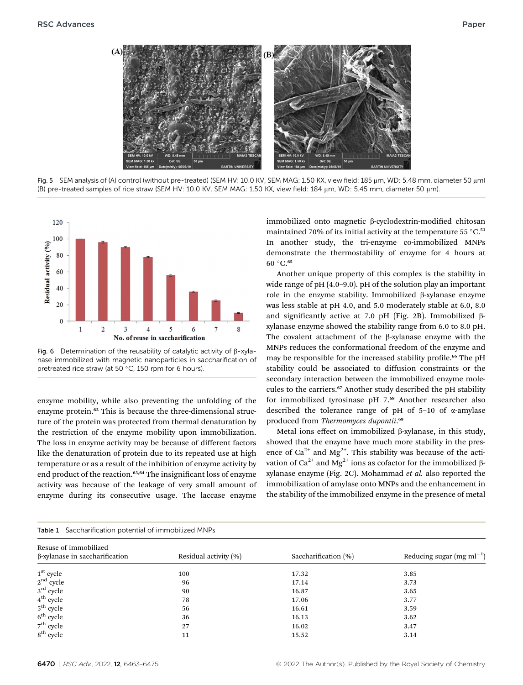

Fig. 5 SEM analysis of (A) control (without pre-treated) (SEM HV: 10.0 KV, SEM MAG: 1.50 KX, view field: 185 µm, WD: 5.48 mm, diameter 50 µm) (B) pre-treated samples of rice straw (SEM HV: 10.0 KV, SEM MAG: 1.50 KX, view field: 184 mm, WD: 5.45 mm, diameter 50 mm).



Fig. 6 Determination of the reusability of catalytic activity of  $\beta$ -xylanase immobilized with magnetic nanoparticles in saccharification of pretreated rice straw (at 50 $^{\circ}$ C, 150 rpm for 6 hours).

enzyme mobility, while also preventing the unfolding of the enzyme protein.<sup>62</sup> This is because the three-dimensional structure of the protein was protected from thermal denaturation by the restriction of the enzyme mobility upon immobilization. The loss in enzyme activity may be because of different factors like the denaturation of protein due to its repeated use at high temperature or as a result of the inhibition of enzyme activity by end product of the reaction.<sup>63,64</sup> The insignificant loss of enzyme activity was because of the leakage of very small amount of enzyme during its consecutive usage. The laccase enzyme

immobilized onto magnetic  $\beta$ -cyclodextrin-modified chitosan maintained 70% of its initial activity at the temperature 55 $\degree$ C.<sup>53</sup> In another study, the tri-enzyme co-immobilized MNPs demonstrate the thermostability of enzyme for 4 hours at  $60 °C.$ <sup>65</sup>

Another unique property of this complex is the stability in wide range of pH (4.0–9.0). pH of the solution play an important role in the enzyme stability. Immobilized  $\beta$ -xylanase enzyme was less stable at pH 4.0, and 5.0 moderately stable at 6.0, 8.0 and significantly active at 7.0 pH (Fig. 2B). Immobilized  $\beta$ xylanase enzyme showed the stability range from 6.0 to 8.0 pH. The covalent attachment of the  $\beta$ -xylanase enzyme with the MNPs reduces the conformational freedom of the enzyme and may be responsible for the increased stability profile.<sup>66</sup> The pH stability could be associated to diffusion constraints or the secondary interaction between the immobilized enzyme molecules to the carriers.<sup>67</sup> Another study described the pH stability for immobilized tyrosinase pH 7.<sup>68</sup> Another researcher also described the tolerance range of pH of  $5-10$  of  $\alpha$ -amylase produced from Thermomyces dupontii.<sup>69</sup>

Metal ions effect on immobilized  $\beta$ -xylanase, in this study, showed that the enzyme have much more stability in the presence of  $Ca^{2+}$  and Mg<sup>2+</sup>. This stability was because of the activation of Ca<sup>2+</sup> and Mg<sup>2+</sup> ions as cofactor for the immobilized  $\beta$ xylanase enzyme (Fig. 2C). Mohammad et al. also reported the immobilization of amylase onto MNPs and the enhancement in the stability of the immobilized enzyme in the presence of metal

| Resuse of immobilized<br>β-xylanase in saccharification                                                                                                                                                                                                                                                                                                                                                | Residual activity (%) | Saccharification (%) | Reducing sugar (mg m $l^{-1}$ ) |  |  |
|--------------------------------------------------------------------------------------------------------------------------------------------------------------------------------------------------------------------------------------------------------------------------------------------------------------------------------------------------------------------------------------------------------|-----------------------|----------------------|---------------------------------|--|--|
| $\begin{array}{l} \mathbf{1}^{\mathrm{st}} \ \mathrm{cycle} \\ \mathbf{2}^{\mathrm{nd}} \ \mathrm{cycle} \\ \mathbf{3}^{\mathrm{rd}} \ \mathrm{cycle} \\ \mathbf{4}^{\mathrm{th}} \ \mathrm{cycle} \\ \mathbf{5}^{\mathrm{th}} \ \mathrm{cycle} \\ \mathbf{6}^{\mathrm{th}} \ \mathrm{cycle} \\ \mathbf{7}^{\mathrm{th}} \ \mathrm{cycle} \\ \mathbf{8}^{\mathrm{th}} \ \mathrm{cycle} \\ \end{array}$ | 100                   | 17.32                | 3.85                            |  |  |
|                                                                                                                                                                                                                                                                                                                                                                                                        | 96                    | 17.14                | 3.73                            |  |  |
|                                                                                                                                                                                                                                                                                                                                                                                                        | 90                    | 16.87                | 3.65                            |  |  |
|                                                                                                                                                                                                                                                                                                                                                                                                        | 78                    | 17.06                | 3.77                            |  |  |
|                                                                                                                                                                                                                                                                                                                                                                                                        | 56                    | 16.61                | 3.59                            |  |  |
|                                                                                                                                                                                                                                                                                                                                                                                                        | 36                    | 16.13                | 3.62                            |  |  |
|                                                                                                                                                                                                                                                                                                                                                                                                        | 27                    | 16.02                | 3.47                            |  |  |
|                                                                                                                                                                                                                                                                                                                                                                                                        | 11                    | 15.52                | 3.14                            |  |  |

Table 1 Saccharification potential of immobilized MNPs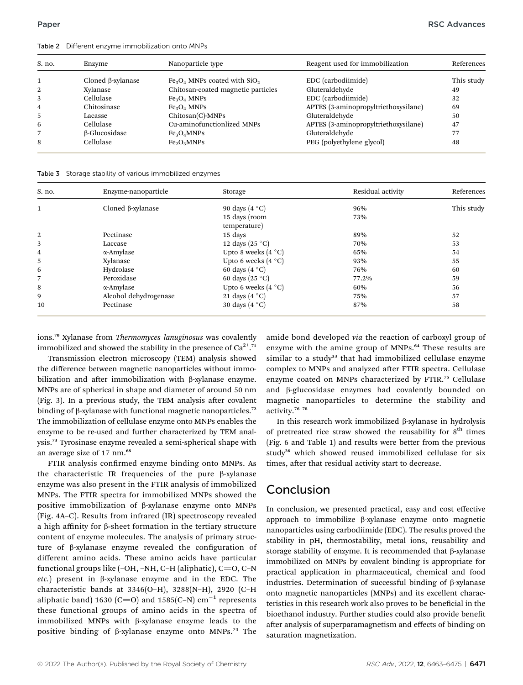Table 2 Different enzyme immobilization onto MNPs

| S. no. | Enzyme                   | Nanoparticle type                         | Reagent used for immobilization      | References |
|--------|--------------------------|-------------------------------------------|--------------------------------------|------------|
|        | Cloned $\beta$ -xylanase | $Fe3O4$ MNPs coated with SiO <sub>2</sub> | EDC (carbodiimide)                   | This study |
| 2      | Xylanase                 | Chitosan-coated magnetic particles        | Gluteraldehyde                       | 49         |
| 3      | Cellulase                | $Fe3O4$ MNPs                              | EDC (carbodiimide)                   | 32         |
| 4      | Chitosinase              | $Fe3O4$ MNPs                              | APTES (3-aminopropyltriethoxysilane) | 69         |
| 5      | Lacasse                  | $Chitosan(C)$ -MNPs                       | Gluteraldehyde                       | 50         |
| 6      | Cellulase                | Cu-aminofunctionlized MNPs                | APTES (3-aminopropyltriethoxysilane) | 47         |
|        | β-Glucosidase            | Fe <sub>3</sub> O <sub>4</sub> MNPs       | Gluteraldehyde                       | 77         |
| 8      | Cellulase                | Fe <sub>2</sub> O <sub>3</sub> MNPs       | PEG (polyethylene glycol)            | 48         |

Table 3 Storage stability of various immobilized enzymes

| S. no.         | Enzyme-nanoparticle      | Storage               | Residual activity | References |
|----------------|--------------------------|-----------------------|-------------------|------------|
| $\mathbf{1}$   | Cloned $\beta$ -xylanase | 90 days $(4 °C)$      | 96%               | This study |
|                |                          | 15 days (room         | 73%               |            |
|                |                          | temperature)          |                   |            |
| 2              | Pectinase                | 15 days               | 89%               | 52         |
| 3              | Laccase                  | 12 days $(25 °C)$     | 70%               | 53         |
| $\overline{4}$ | α-Amylase                | Upto 8 weeks $(4 °C)$ | 65%               | 54         |
| 5              | Xylanase                 | Upto 6 weeks $(4 °C)$ | 93%               | 55         |
| 6              | Hydrolase                | 60 days $(4 °C)$      | 76%               | 60         |
| 7              | Peroxidase               | 60 days $(25 °C)$     | 77.2%             | 59         |
| 8              | α-Amylase                | Upto 6 weeks $(4 °C)$ | 60%               | 56         |
| 9              | Alcohol dehydrogenase    | 21 days $(4 °C)$      | 75%               | 57         |
| 10             | Pectinase                | 30 days $(4 °C)$      | 87%               | 58         |

ions.<sup>70</sup> Xylanase from Thermomyces lanuginosus was covalently immobilized and showed the stability in the presence of  $Ca^{2+71}$ 

Transmission electron microscopy (TEM) analysis showed the difference between magnetic nanoparticles without immobilization and after immobilization with  $\beta$ -xylanase enzyme. MNPs are of spherical in shape and diameter of around 50 nm (Fig. 3). In a previous study, the TEM analysis after covalent binding of  $\beta$ -xylanase with functional magnetic nanoparticles.<sup>72</sup> The immobilization of cellulase enzyme onto MNPs enables the enzyme to be re-used and further characterized by TEM analysis.<sup>73</sup> Tyrosinase enzyme revealed a semi-spherical shape with an average size of 17 nm.<sup>68</sup>

FTIR analysis confirmed enzyme binding onto MNPs. As the characteristic IR frequencies of the pure  $\beta$ -xylanase enzyme was also present in the FTIR analysis of immobilized MNPs. The FTIR spectra for immobilized MNPs showed the positive immobilization of b-xylanase enzyme onto MNPs (Fig. 4A–C). Results from infrared (IR) spectroscopy revealed a high affinity for  $\beta$ -sheet formation in the tertiary structure content of enzyme molecules. The analysis of primary structure of  $\beta$ -xylanase enzyme revealed the configuration of different amino acids. These amino acids have particular functional groups like  $(-OH, -NH, C-H)$  (aliphatic),  $C=O, C-N$ etc.) present in  $\beta$ -xylanase enzyme and in the EDC. The characteristic bands at 3346(O–H), 3288(N–H), 2920 (C–H aliphatic band) 1630 (C=O) and 1585(C-N)  $cm^{-1}$  represents these functional groups of amino acids in the spectra of immobilized MNPs with  $\beta$ -xylanase enzyme leads to the positive binding of  $\beta$ -xylanase enzyme onto MNPs.<sup>74</sup> The amide bond developed via the reaction of carboxyl group of enzyme with the amine group of MNPs.<sup>64</sup> These results are similar to a study<sup>33</sup> that had immobilized cellulase enzyme complex to MNPs and analyzed after FTIR spectra. Cellulase enzyme coated on MNPs characterized by FTIR.<sup>75</sup> Cellulase and b-glucosidase enzymes had covalently bounded on magnetic nanoparticles to determine the stability and activity.<sup>76</sup>–<sup>78</sup>

In this research work immobilized  $\beta$ -xylanase in hydrolysis of pretreated rice straw showed the reusability for  $8<sup>th</sup>$  times (Fig. 6 and Table 1) and results were better from the previous study<sup>26</sup> which showed reused immobilized cellulase for six times, after that residual activity start to decrease.

## Conclusion

In conclusion, we presented practical, easy and cost effective approach to immobilize  $\beta$ -xylanase enzyme onto magnetic nanoparticles using carbodiimide (EDC). The results proved the stability in pH, thermostability, metal ions, reusability and storage stability of enzyme. It is recommended that  $\beta$ -xylanase immobilized on MNPs by covalent binding is appropriate for practical application in pharmaceutical, chemical and food industries. Determination of successful binding of  $\beta$ -xylanase onto magnetic nanoparticles (MNPs) and its excellent characteristics in this research work also proves to be beneficial in the bioethanol industry. Further studies could also provide benefit after analysis of superparamagnetism and effects of binding on saturation magnetization.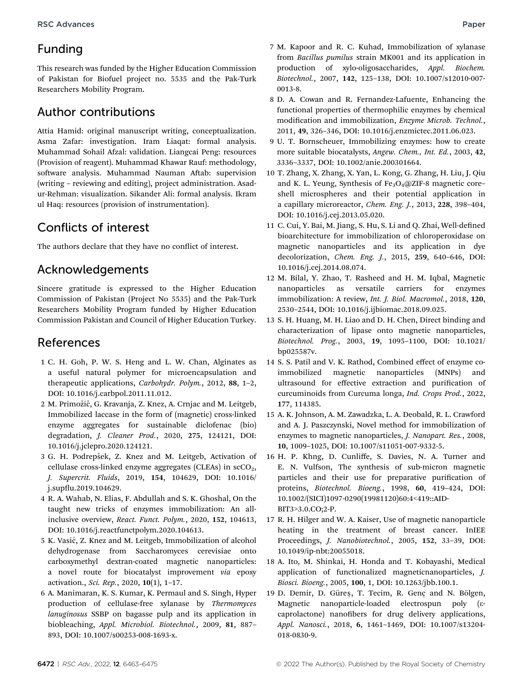### Funding

This research was funded by the Higher Education Commission of Pakistan for Biofuel project no. 5535 and the Pak-Turk Researchers Mobility Program.

### Author contributions

Attia Hamid: original manuscript writing, conceptualization. Asma Zafar: investigation. Iram Liaqat: formal analysis. Muhammad Sohail Afzal: validation. Liangcai Peng: resources (Provision of reagent). Muhammad Khawar Rauf: methodology, software analysis. Muhammad Nauman Aftab: supervision (writing – reviewing and editing), project administration. Asadur-Rehman: visualization. Sikander Ali: formal analysis. Ikram ul Haq: resources (provision of instrumentation).

# Conflicts of interest

The authors declare that they have no conflict of interest.

## Acknowledgements

Sincere gratitude is expressed to the Higher Education Commission of Pakistan (Project No 5535) and the Pak-Turk Researchers Mobility Program funded by Higher Education Commission Pakistan and Council of Higher Education Turkey.

### References

- 1 C. H. Goh, P. W. S. Heng and L. W. Chan, Alginates as a useful natural polymer for microencapsulation and therapeutic applications, Carbohydr. Polym., 2012, 88, 1–2, DOI: 10.1016/j.carbpol.2011.11.012.
- 2 M. Primožič, G. Kravanja, Z. Knez, A. Crnjac and M. Leitgeb, Immobilized laccase in the form of (magnetic) cross-linked enzyme aggregates for sustainable diclofenac (bio) degradation, J. Cleaner Prod., 2020, 275, 124121, DOI: 10.1016/j.jclepro.2020.124121.
- 3 G. H. Podrepšek, Z. Knez and M. Leitgeb, Activation of cellulase cross-linked enzyme aggregates (CLEAs) in scCO<sub>2</sub>, J. Supercrit. Fluids, 2019, 154, 104629, DOI: 10.1016/ j.supflu.2019.104629.
- 4 R. A. Wahab, N. Elias, F. Abdullah and S. K. Ghoshal, On the taught new tricks of enzymes immobilization: An allinclusive overview, React. Funct. Polym., 2020, 152, 104613, DOI: 10.1016/j.reactfunctpolym.2020.104613.
- 5 K. Vasić, Z. Knez and M. Leitgeb, Immobilization of alcohol dehydrogenase from Saccharomyces cerevisiae onto carboxymethyl dextran-coated magnetic nanoparticles: a novel route for biocatalyst improvement via epoxy activation., Sci. Rep., 2020, 10(1), 1–17.
- 6 A. Manimaran, K. S. Kumar, K. Permaul and S. Singh, Hyper production of cellulase-free xylanase by Thermomyces lanuginosus SSBP on bagasse pulp and its application in biobleaching, Appl. Microbiol. Biotechnol., 2009, 81, 887– 893, DOI: 10.1007/s00253-008-1693-x.
- 7 M. Kapoor and R. C. Kuhad, Immobilization of xylanase from Bacillus pumilus strain MK001 and its application in production of xylo-oligosaccharides, Appl. Biochem. Biotechnol., 2007, 142, 125–138, DOI: 10.1007/s12010-007- 0013-8.
- 8 D. A. Cowan and R. Fernandez-Lafuente, Enhancing the functional properties of thermophilic enzymes by chemical modification and immobilization, Enzyme Microb. Technol., 2011, 49, 326–346, DOI: 10.1016/j.enzmictec.2011.06.023.
- 9 U. T. Bornscheuer, Immobilizing enzymes: how to create more suitable biocatalysts, Angew. Chem., Int. Ed., 2003, 42, 3336–3337, DOI: 10.1002/anie.200301664.
- 10 T. Zhang, X. Zhang, X. Yan, L. Kong, G. Zhang, H. Liu, J. Qiu and K. L. Yeung, Synthesis of  $Fe<sub>3</sub>O<sub>4</sub>(@ZIF-8 magnetic core–$ shell microspheres and their potential application in a capillary microreactor, Chem. Eng. J., 2013, 228, 398–404, DOI: 10.1016/j.cej.2013.05.020.
- 11 C. Cui, Y. Bai, M. Jiang, S. Hu, S. Li and Q. Zhai, Well-defined bioarchitecture for immobilization of chloroperoxidase on magnetic nanoparticles and its application in dye decolorization, Chem. Eng. J., 2015, 259, 640–646, DOI: 10.1016/j.cej.2014.08.074.
- 12 M. Bilal, Y. Zhao, T. Rasheed and H. M. Iqbal, Magnetic nanoparticles as versatile carriers for enzymes immobilization: A review, Int. J. Biol. Macromol., 2018, 120, 2530–2544, DOI: 10.1016/j.ijbiomac.2018.09.025.
- 13 S. H. Huang, M. H. Liao and D. H. Chen, Direct binding and characterization of lipase onto magnetic nanoparticles, Biotechnol. Prog., 2003, 19, 1095–1100, DOI: 10.1021/ bp025587v.
- 14 S. S. Patil and V. K. Rathod, Combined effect of enzyme coimmobilized magnetic nanoparticles (MNPs) and ultrasound for effective extraction and purification of curcuminoids from Curcuma longa, Ind. Crops Prod., 2022, 177, 114385.
- 15 A. K. Johnson, A. M. Zawadzka, L. A. Deobald, R. L. Crawford and A. J. Paszczynski, Novel method for immobilization of enzymes to magnetic nanoparticles, J. Nanopart. Res., 2008, 10, 1009–1025, DOI: 10.1007/s11051-007-9332-5.
- 16 H. P. Khng, D. Cunliffe, S. Davies, N. A. Turner and E. N. Vulfson, The synthesis of sub-micron magnetic particles and their use for preparative purification of proteins, Biotechnol. Bioeng., 1998, 60, 419–424, DOI: 10.1002/(SICI)1097-0290(19981120)60:4<419::AID-BIT3>3.0.CO;2-P.
- 17 R. H. Hilger and W. A. Kaiser, Use of magnetic nanoparticle heating in the treatment of breast cancer. InIEE Proceedings, J. Nanobiotechnol., 2005, 152, 33–39, DOI: 10.1049/ip-nbt:20055018.
- 18 A. Ito, M. Shinkai, H. Honda and T. Kobayashi, Medical application of functionalized magneticnanoparticles, J. Biosci. Bioeng., 2005, 100, 1, DOI: 10.1263/jbb.100.1.
- 19 D. Demir, D. Güres, T. Tecim, R. Genç and N. Bölgen, Magnetic nanoparticle-loaded electrospun poly ( $\varepsilon$ caprolactone) nanofibers for drug delivery applications, Appl. Nanosci., 2018, 6, 1461–1469, DOI: 10.1007/s13204- 018-0830-9.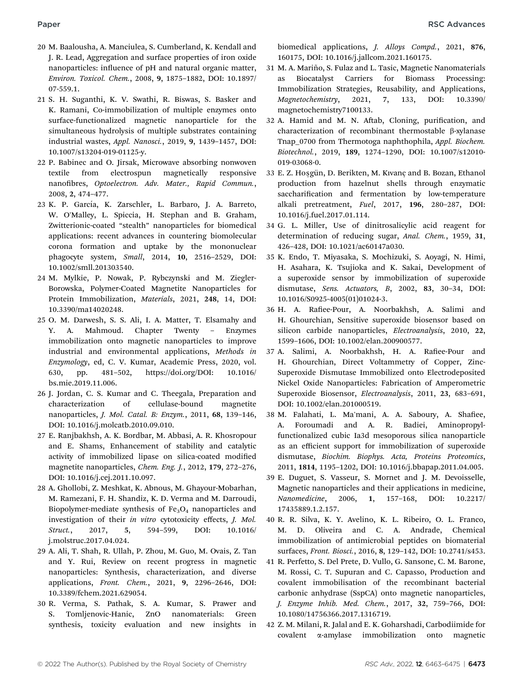- 20 M. Baalousha, A. Manciulea, S. Cumberland, K. Kendall and J. R. Lead, Aggregation and surface properties of iron oxide nanoparticles: influence of pH and natural organic matter, Environ. Toxicol. Chem., 2008, 9, 1875–1882, DOI: 10.1897/ 07-559.1.
- 21 S. H. Suganthi, K. V. Swathi, R. Biswas, S. Basker and K. Ramani, Co-immobilization of multiple enzymes onto surface-functionalized magnetic nanoparticle for the simultaneous hydrolysis of multiple substrates containing industrial wastes, Appl. Nanosci., 2019, 9, 1439–1457, DOI: 10.1007/s13204-019-01125-y.
- 22 P. Babinec and O. Jirsak, Microwave absorbing nonwoven textile from electrospun magnetically responsive nanofibres, Optoelectron. Adv. Mater., Rapid Commun., 2008, 2, 474–477.
- 23 K. P. García, K. Zarschler, L. Barbaro, J. A. Barreto, W. O'Malley, L. Spiccia, H. Stephan and B. Graham, Zwitterionic-coated "stealth" nanoparticles for biomedical applications: recent advances in countering biomolecular corona formation and uptake by the mononuclear phagocyte system, Small, 2014, 10, 2516–2529, DOI: 10.1002/smll.201303540.
- 24 M. Mylkie, P. Nowak, P. Rybczynski and M. Ziegler-Borowska, Polymer-Coated Magnetite Nanoparticles for Protein Immobilization, Materials, 2021, 248, 14, DOI: 10.3390/ma14020248.
- 25 O. M. Darwesh, S. S. Ali, I. A. Matter, T. Elsamahy and Y. A. Mahmoud. Chapter Twenty – Enzymes immobilization onto magnetic nanoparticles to improve industrial and environmental applications, Methods in Enzymology, ed, C. V. Kumar, Academic Press, 2020, vol. 630, pp. 481–502, https://doi.org/DOI: 10.1016/ bs.mie.2019.11.006.
- 26 J. Jordan, C. S. Kumar and C. Theegala, Preparation and characterization of cellulase-bound magnetite nanoparticles, J. Mol. Catal. B: Enzym., 2011, 68, 139–146, DOI: 10.1016/j.molcatb.2010.09.010.
- 27 E. Ranjbakhsh, A. K. Bordbar, M. Abbasi, A. R. Khosropour and E. Shams, Enhancement of stability and catalytic activity of immobilized lipase on silica-coated modified magnetite nanoparticles, Chem. Eng. J., 2012, 179, 272–276, DOI: 10.1016/j.cej.2011.10.097.
- 28 A. Ghollobi, Z. Meshkat, K. Abnous, M. Ghayour-Mobarhan, M. Ramezani, F. H. Shandiz, K. D. Verma and M. Darroudi, Biopolymer-mediate synthesis of  $Fe<sub>3</sub>O<sub>4</sub>$  nanoparticles and investigation of their in vitro cytotoxicity effects, J. Mol. Struct., 2017, 5, 594–599, DOI: 10.1016/ j.molstruc.2017.04.024.
- 29 A. Ali, T. Shah, R. Ullah, P. Zhou, M. Guo, M. Ovais, Z. Tan and Y. Rui, Review on recent progress in magnetic nanoparticles: Synthesis, characterization, and diverse applications, Front. Chem., 2021, 9, 2296–2646, DOI: 10.3389/fchem.2021.629054.
- 30 R. Verma, S. Pathak, S. A. Kumar, S. Prawer and S. Tomljenovic-Hanic, ZnO nanomaterials: Green synthesis, toxicity evaluation and new insights in

biomedical applications, J. Alloys Compd., 2021, 876, 160175, DOI: 10.1016/j.jallcom.2021.160175.

- 31 M. A. Mariño, S. Fulaz and L. Tasic, Magnetic Nanomaterials as Biocatalyst Carriers for Biomass Processing: Immobilization Strategies, Reusability, and Applications, Magnetochemistry, 2021, 7, 133, DOI: 10.3390/ magnetochemistry7100133.
- 32 A. Hamid and M. N. Aftab, Cloning, purification, and characterization of recombinant thermostable  $\beta$ -xylanase Tnap\_0700 from Thermotoga naphthophila, Appl. Biochem. Biotechnol., 2019, 189, 1274–1290, DOI: 10.1007/s12010- 019-03068-0.
- 33 E. Z. Hosgün, D. Berikten, M. Kıvanç and B. Bozan, Ethanol production from hazelnut shells through enzymatic saccharification and fermentation by low-temperature alkali pretreatment, Fuel, 2017, 196, 280–287, DOI: 10.1016/j.fuel.2017.01.114.
- 34 G. L. Miller, Use of dinitrosalicylic acid reagent for determination of reducing sugar, Anal. Chem., 1959, 31, 426–428, DOI: 10.1021/ac60147a030.
- 35 K. Endo, T. Miyasaka, S. Mochizuki, S. Aoyagi, N. Himi, H. Asahara, K. Tsujioka and K. Sakai, Development of a superoxide sensor by immobilization of superoxide dismutase, Sens. Actuators, B, 2002, 83, 30–34, DOI: 10.1016/S0925-4005(01)01024-3.
- 36 H. A. Rafiee-Pour, A. Noorbakhsh, A. Salimi and H. Ghourchian, Sensitive superoxide biosensor based on silicon carbide nanoparticles, Electroanalysis, 2010, 22, 1599–1606, DOI: 10.1002/elan.200900577.
- 37 A. Salimi, A. Noorbakhsh, H. A. Rafiee-Pour and H. Ghourchian, Direct Voltammetry of Copper, Zinc-Superoxide Dismutase Immobilized onto Electrodeposited Nickel Oxide Nanoparticles: Fabrication of Amperometric Superoxide Biosensor, Electroanalysis, 2011, 23, 683–691, DOI: 10.1002/elan.201000519.
- 38 M. Falahati, L. Ma'mani, A. A. Saboury, A. Shafiee, A. Foroumadi and A. R. Badiei, Aminopropylfunctionalized cubic Ia3d mesoporous silica nanoparticle as an efficient support for immobilization of superoxide dismutase, Biochim. Biophys. Acta, Proteins Proteomics, 2011, 1814, 1195–1202, DOI: 10.1016/j.bbapap.2011.04.005.
- 39 E. Duguet, S. Vasseur, S. Mornet and J. M. Devoisselle, Magnetic nanoparticles and their applications in medicine, Nanomedicine, 2006, 1, 157–168, DOI: 10.2217/ 17435889.1.2.157.
- 40 R. R. Silva, K. Y. Avelino, K. L. Ribeiro, O. L. Franco, M. D. Oliveira and C. A. Andrade, Chemical immobilization of antimicrobial peptides on biomaterial surfaces, Front. Biosci., 2016, 8, 129–142, DOI: 10.2741/s453.
- 41 R. Perfetto, S. Del Prete, D. Vullo, G. Sansone, C. M. Barone, M. Rossi, C. T. Supuran and C. Capasso, Production and covalent immobilisation of the recombinant bacterial carbonic anhydrase (SspCA) onto magnetic nanoparticles, J. Enzyme Inhib. Med. Chem., 2017, 32, 759–766, DOI: 10.1080/14756366.2017.1316719.
- 42 Z. M. Milani, R. Jalal and E. K. Goharshadi, Carbodiimide for covalent a-amylase immobilization onto magnetic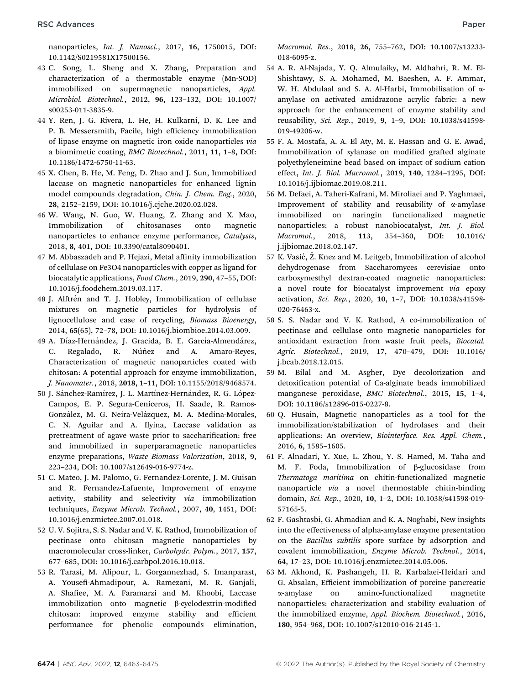nanoparticles, Int. J. Nanosci., 2017, 16, 1750015, DOI: 10.1142/S0219581X17500156.

- 43 C. Song, L. Sheng and X. Zhang, Preparation and characterization of a thermostable enzyme (Mn-SOD) immobilized on supermagnetic nanoparticles, Appl. Microbiol. Biotechnol., 2012, 96, 123–132, DOI: 10.1007/ s00253-011-3835-9.
- 44 Y. Ren, J. G. Rivera, L. He, H. Kulkarni, D. K. Lee and P. B. Messersmith, Facile, high efficiency immobilization of lipase enzyme on magnetic iron oxide nanoparticles via a biomimetic coating, BMC Biotechnol., 2011, 11, 1–8, DOI: 10.1186/1472-6750-11-63.
- 45 X. Chen, B. He, M. Feng, D. Zhao and J. Sun, Immobilized laccase on magnetic nanoparticles for enhanced lignin model compounds degradation, Chin. J. Chem. Eng., 2020, 28, 2152–2159, DOI: 10.1016/j.cjche.2020.02.028.
- 46 W. Wang, N. Guo, W. Huang, Z. Zhang and X. Mao, Immobilization of chitosanases onto magnetic nanoparticles to enhance enzyme performance, Catalysts, 2018, 8, 401, DOI: 10.3390/catal8090401.
- 47 M. Abbaszadeh and P. Hejazi, Metal affinity immobilization of cellulase on Fe3O4 nanoparticles with copper as ligand for biocatalytic applications, Food Chem., 2019, 290, 47–55, DOI: 10.1016/j.foodchem.2019.03.117.
- 48 J. Alftrén and T. J. Hobley, Immobilization of cellulase mixtures on magnetic particles for hydrolysis of lignocellulose and ease of recycling, Biomass Bioenergy, 2014, 65(65), 72–78, DOI: 10.1016/j.biombioe.2014.03.009.
- 49 A. Díaz-Hernández, J. Gracida, B. E. García-Almendárez, C. Regalado, R. Núñez and A. Amaro-Reyes, Characterization of magnetic nanoparticles coated with chitosan: A potential approach for enzyme immobilization, J. Nanomater., 2018, 2018, 1–11, DOI: 10.1155/2018/9468574.
- 50 J. Sánchez-Ramírez, J. L. Martínez-Hernández, R. G. López-Campos, E. P. Segura-Ceniceros, H. Saade, R. Ramos-González, M. G. Neira-Velázquez, M. A. Medina-Morales, C. N. Aguilar and A. Ilyina, Laccase validation as pretreatment of agave waste prior to saccharification: free and immobilized in superparamagnetic nanoparticles enzyme preparations, Waste Biomass Valorization, 2018, 9, 223–234, DOI: 10.1007/s12649-016-9774-z.
- 51 C. Mateo, J. M. Palomo, G. Fernandez-Lorente, J. M. Guisan and R. Fernandez-Lafuente, Improvement of enzyme activity, stability and selectivity via immobilization techniques, Enzyme Microb. Technol., 2007, 40, 1451, DOI: 10.1016/j.enzmictec.2007.01.018.
- 52 U. V. Sojitra, S. S. Nadar and V. K. Rathod, Immobilization of pectinase onto chitosan magnetic nanoparticles by macromolecular cross-linker, Carbohydr. Polym., 2017, 157, 677–685, DOI: 10.1016/j.carbpol.2016.10.018.
- 53 R. Tarasi, M. Alipour, L. Gorgannezhad, S. Imanparast, A. Yousefi-Ahmadipour, A. Ramezani, M. R. Ganjali, A. Shafiee, M. A. Faramarzi and M. Khoobi, Laccase immobilization onto magnetic  $\beta$ -cyclodextrin-modified chitosan: improved enzyme stability and efficient performance for phenolic compounds elimination,

Macromol. Res., 2018, 26, 755–762, DOI: 10.1007/s13233- 018-6095-z.

- 54 A. R. Al-Najada, Y. Q. Almulaiky, M. Aldhahri, R. M. El-Shishtawy, S. A. Mohamed, M. Baeshen, A. F. Ammar, W. H. Abdulaal and S. A. Al-Harbi, Immobilisation of aamylase on activated amidrazone acrylic fabric: a new approach for the enhancement of enzyme stability and reusability, Sci. Rep., 2019, 9, 1–9, DOI: 10.1038/s41598- 019-49206-w.
- 55 F. A. Mostafa, A. A. El Aty, M. E. Hassan and G. E. Awad, Immobilization of xylanase on modified grafted alginate polyethyleneimine bead based on impact of sodium cation effect, Int. J. Biol. Macromol., 2019, 140, 1284–1295, DOI: 10.1016/j.ijbiomac.2019.08.211.
- 56 M. Defaei, A. Taheri-Kafrani, M. Miroliaei and P. Yaghmaei, Improvement of stability and reusability of  $\alpha$ -amylase immobilized on naringin functionalized magnetic nanoparticles: a robust nanobiocatalyst, Int. J. Biol. Macromol., 2018, 113, 354–360, DOI: 10.1016/ j.ijbiomac.2018.02.147.
- 57 K. Vasić, Ž. Knez and M. Leitgeb, Immobilization of alcohol dehydrogenase from Saccharomyces cerevisiae onto carboxymesthyl dextran-coated magnetic nanoparticles: a novel route for biocatalyst improvement via epoxy activation, Sci. Rep., 2020, 10, 1–7, DOI: 10.1038/s41598- 020-76463-x.
- 58 S. S. Nadar and V. K. Rathod, A co-immobilization of pectinase and cellulase onto magnetic nanoparticles for antioxidant extraction from waste fruit peels, Biocatal. Agric. Biotechnol., 2019, 17, 470–479, DOI: 10.1016/ j.bcab.2018.12.015.
- 59 M. Bilal and M. Asgher, Dye decolorization and detoxification potential of Ca-alginate beads immobilized manganese peroxidase, BMC Biotechnol., 2015, 15, 1–4, DOI: 10.1186/s12896-015-0227-8.
- 60 Q. Husain, Magnetic nanoparticles as a tool for the immobilization/stabilization of hydrolases and their applications: An overview, Biointerface. Res. Appl. Chem., 2016, 6, 1585–1605.
- 61 F. Alnadari, Y. Xue, L. Zhou, Y. S. Hamed, M. Taha and M. F. Foda, Immobilization of  $\beta$ -glucosidase from Thermatoga maritima on chitin-functionalized magnetic nanoparticle via a novel thermostable chitin-binding domain, Sci. Rep., 2020, 10, 1–2, DOI: 10.1038/s41598-019- 57165-5.
- 62 F. Gashtasbi, G. Ahmadian and K. A. Noghabi, New insights into the effectiveness of alpha-amylase enzyme presentation on the Bacillus subtilis spore surface by adsorption and covalent immobilization, Enzyme Microb. Technol., 2014, 64, 17–23, DOI: 10.1016/j.enzmictec.2014.05.006.
- 63 M. Akhond, K. Pashangeh, H. R. Karbalaei-Heidari and G. Absalan, Efficient immobilization of porcine pancreatic a-amylase on amino-functionalized magnetite nanoparticles: characterization and stability evaluation of the immobilized enzyme, Appl. Biochem. Biotechnol., 2016, 180, 954–968, DOI: 10.1007/s12010-016-2145-1.